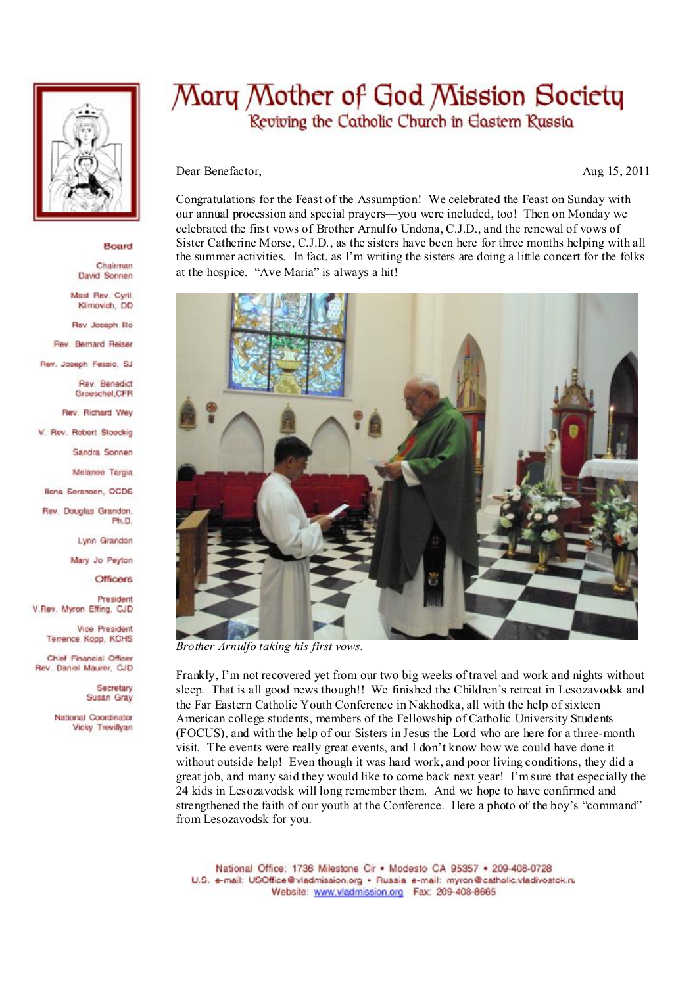

## Board

Chairman David Sonnen

Mast Rev. Cyril. Klimovich, DD

Rev Joseph Illo

Rev. Bernard Reiser

Rev. Joseph Fessio, SJ

Rev. Benedict Groeschel, CFR

Rev. Richard Wey

V. Rev. Robert Stoeckig

Sandra Sonnen

Melanee Targia

Ilona Sorensen, OCDS

**Rev. Doubles Grandon** Ph.D

Lynn Grandon

Mary Jo Peyton

**Officers** 

President V.Rev. Myron Effing, CJD

> Vice President Terrence Kopp, KCHS

Chief Financial Officer Rev. Daniel Maurer, CJD

> Secretary Susan Gray

National Coordinator Vicky Trevillvan

## Mary Mother of God Mission Society Reviving the Catholic Church in Eastern Russia

Dear Benefactor,

Aug 15, 2011

Congratulations for the Feast of the Assumption! We celebrated the Feast on Sunday with our annual procession and special prayers—you were included, too! Then on Monday we celebrated the first vows of Brother Arnulfo Undona, C.J.D., and the renewal of vows of Sister Catherine Morse, C.J.D., as the sisters have been here for three months helping with all the summer activities. In fact, as I'm writing the sisters are doing a little concert for the folks at the hospice. "Ave Maria" is always a hit!



Brother Arnulfo taking his first vows.

Frankly, I'm not recovered yet from our two big weeks of travel and work and nights without sleep. That is all good news though!! We finished the Children's retreat in Lesozavodsk and the Far Eastern Catholic Youth Conference in Nakhodka, all with the help of sixteen American college students, members of the Fellowship of Catholic University Students (FOCUS), and with the help of our Sisters in Jesus the Lord who are here for a three-month visit. The events were really great events, and I don't know how we could have done it without outside help! Even though it was hard work, and poor living conditions, they did a great job, and many said they would like to come back next year! I'm sure that especially the 24 kids in Lesozavodsk will long remember them. And we hope to have confirmed and strengthened the faith of our youth at the Conference. Here a photo of the boy's "command" from Lesozavodsk for you.

National Office: 1736 Milestone Cir . Modesto CA 95357 . 209-408-0728 U.S. e-mail: USOffice@vladmission.org · Russia e-mail: myron@catholic.vladivostok.ru Website: www.vladmission.org Fax: 209-408-8665